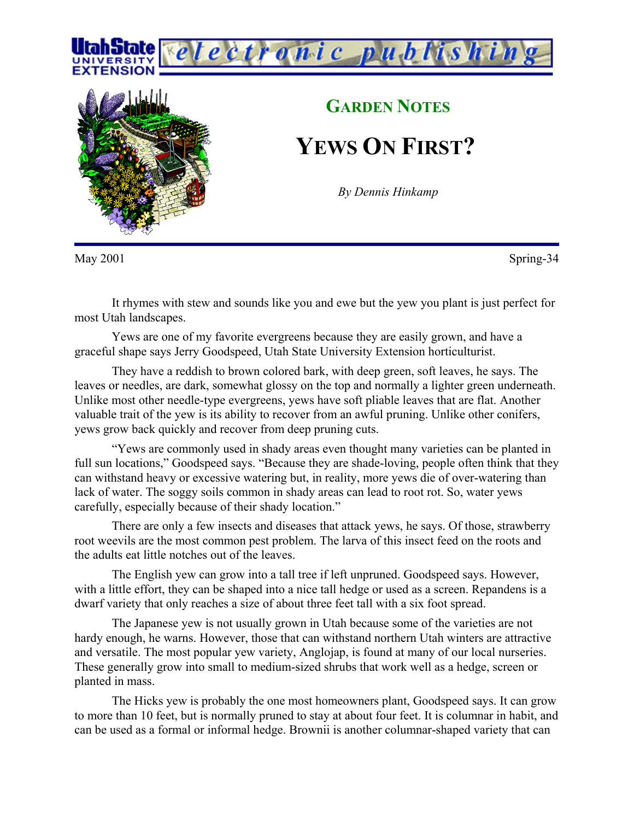



## **GARDEN NOTES**

**YEWS ON FIRST?**

*By Dennis Hinkamp*

May 2001 Spring-34

It rhymes with stew and sounds like you and ewe but the yew you plant is just perfect for most Utah landscapes.

Yews are one of my favorite evergreens because they are easily grown, and have a graceful shape says Jerry Goodspeed, Utah State University Extension horticulturist.

They have a reddish to brown colored bark, with deep green, soft leaves, he says. The leaves or needles, are dark, somewhat glossy on the top and normally a lighter green underneath. Unlike most other needle-type evergreens, yews have soft pliable leaves that are flat. Another valuable trait of the yew is its ability to recover from an awful pruning. Unlike other conifers, yews grow back quickly and recover from deep pruning cuts.

"Yews are commonly used in shady areas even thought many varieties can be planted in full sun locations," Goodspeed says. "Because they are shade-loving, people often think that they can withstand heavy or excessive watering but, in reality, more yews die of over-watering than lack of water. The soggy soils common in shady areas can lead to root rot. So, water yews carefully, especially because of their shady location."

There are only a few insects and diseases that attack yews, he says. Of those, strawberry root weevils are the most common pest problem. The larva of this insect feed on the roots and the adults eat little notches out of the leaves.

The English yew can grow into a tall tree if left unpruned. Goodspeed says. However, with a little effort, they can be shaped into a nice tall hedge or used as a screen. Repandens is a dwarf variety that only reaches a size of about three feet tall with a six foot spread.

The Japanese yew is not usually grown in Utah because some of the varieties are not hardy enough, he warns. However, those that can withstand northern Utah winters are attractive and versatile. The most popular yew variety, Anglojap, is found at many of our local nurseries. These generally grow into small to medium-sized shrubs that work well as a hedge, screen or planted in mass.

The Hicks yew is probably the one most homeowners plant, Goodspeed says. It can grow to more than 10 feet, but is normally pruned to stay at about four feet. It is columnar in habit, and can be used as a formal or informal hedge. Brownii is another columnar-shaped variety that can